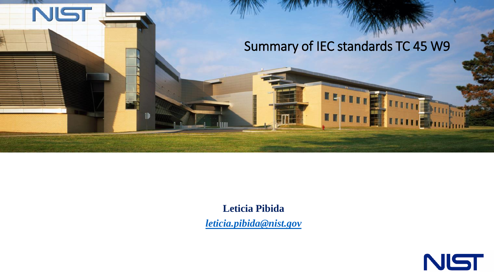

**Leticia Pibida** *[leticia.pibida@nist.gov](mailto:Leticia.pibida@nist.gov)*

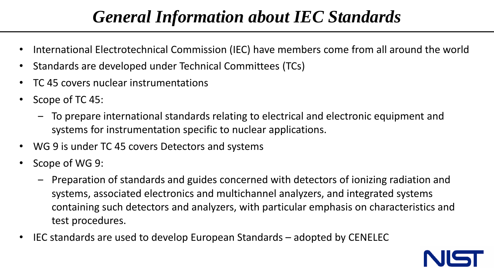# *General Information about IEC Standards*

- International Electrotechnical Commission (IEC) have members come from all around the world
- Standards are developed under Technical Committees (TCs)
- TC 45 covers nuclear instrumentations
- Scope of TC 45:
	- ‒ To prepare international standards relating to electrical and electronic equipment and systems for instrumentation specific to nuclear applications.
- WG 9 is under TC 45 covers Detectors and systems
- Scope of WG 9:
	- ‒ Preparation of standards and guides concerned with detectors of ionizing radiation and systems, associated electronics and multichannel analyzers, and integrated systems containing such detectors and analyzers, with particular emphasis on characteristics and test procedures.
- IEC standards are used to develop European Standards adopted by CENELEC

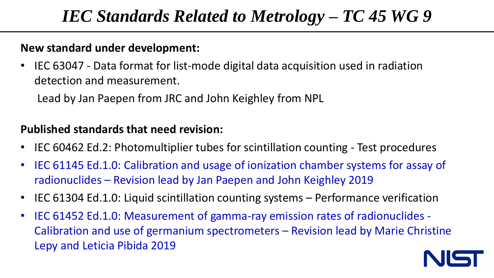## *IEC Standards Related to Metrology – TC 45 WG 9*

#### **New standard under development:**

• IEC 63047 - Data format for list-mode digital data acquisition used in radiation detection and measurement.

Lead by Jan Paepen from JRC and John Keighley from NPL

#### **Published standards that need revision:**

- IEC 60462 Ed.2: Photomultiplier tubes for scintillation counting Test procedures
- IEC 61145 Ed.1.0: Calibration and usage of ionization chamber systems for assay of radionuclides – Revision lead by Jan Paepen and John Keighley 2019
- IEC 61304 Ed.1.0: Liquid scintillation counting systems Performance verification
- IEC 61452 Ed.1.0: Measurement of gamma-ray emission rates of radionuclides Calibration and use of germanium spectrometers – Revision lead by Marie Christine Lepy and Leticia Pibida 2019

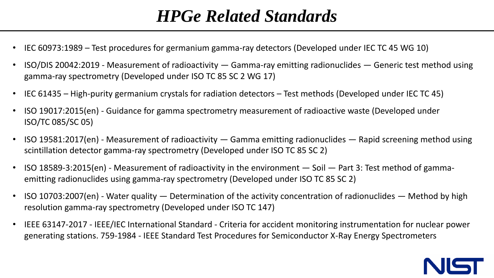# *HPGe Related Standards*

- IEC 60973:1989 Test procedures for germanium gamma-ray detectors (Developed under IEC TC 45 WG 10)
- ISO/DIS 20042:2019 Measurement of radioactivity Gamma-ray emitting radionuclides Generic test method using gamma-ray spectrometry (Developed under ISO TC 85 SC 2 WG 17)
- IEC 61435 High-purity germanium crystals for radiation detectors Test methods (Developed under IEC TC 45)
- ISO 19017:2015(en) Guidance for gamma spectrometry measurement of radioactive waste (Developed under ISO/TC 085/SC 05)
- ISO 19581:2017(en) Measurement of radioactivity Gamma emitting radionuclides Rapid screening method using scintillation detector gamma-ray spectrometry (Developed under ISO TC 85 SC 2)
- ISO 18589-3:2015(en) Measurement of radioactivity in the environment Soil Part 3: Test method of gammaemitting radionuclides using gamma-ray spectrometry (Developed under ISO TC 85 SC 2)
- ISO 10703:2007(en) Water quality Determination of the activity concentration of radionuclides Method by high resolution gamma-ray spectrometry (Developed under ISO TC 147)
- IEEE 63147-2017 IEEE/IEC International Standard Criteria for accident monitoring instrumentation for nuclear power generating stations. 759-1984 - IEEE Standard Test Procedures for Semiconductor X-Ray Energy Spectrometers

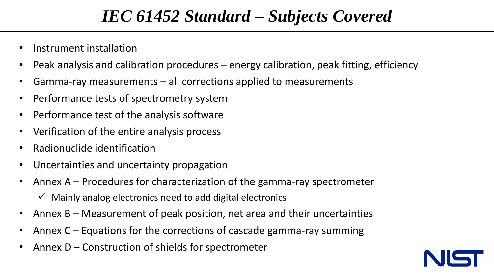## *IEC 61452 Standard – Subjects Covered*

- Instrument installation
- Peak analysis and calibration procedures energy calibration, peak fitting, efficiency
- Gamma-ray measurements all corrections applied to measurements
- Performance tests of spectrometry system
- Performance test of the analysis software
- Verification of the entire analysis process
- Radionuclide identification
- Uncertainties and uncertainty propagation
- Annex  $A$  Procedures for characterization of the gamma-ray spectrometer
	- $\checkmark$  Mainly analog electronics need to add digital electronics
- Annex  $B M$ easurement of peak position, net area and their uncertainties
- Annex  $C$  Equations for the corrections of cascade gamma-ray summing
- Annex  $D$  Construction of shields for spectrometer

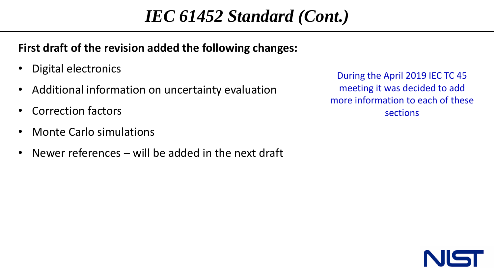# *IEC 61452 Standard (Cont.)*

#### **First draft of the revision added the following changes:**

- Digital electronics
- Additional information on uncertainty evaluation
- Correction factors
- Monte Carlo simulations
- Newer references will be added in the next draft

During the April 2019 IEC TC 45 meeting it was decided to add more information to each of these sections

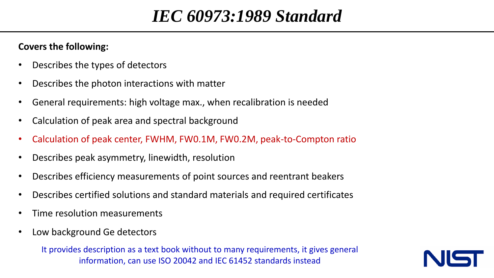#### *IEC 60973:1989 Standard*

#### **Covers the following:**

- Describes the types of detectors
- Describes the photon interactions with matter
- General requirements: high voltage max., when recalibration is needed
- Calculation of peak area and spectral background
- Calculation of peak center, FWHM, FW0.1M, FW0.2M, peak-to-Compton ratio
- Describes peak asymmetry, linewidth, resolution
- Describes efficiency measurements of point sources and reentrant beakers
- Describes certified solutions and standard materials and required certificates
- Time resolution measurements
- Low background Ge detectors

It provides description as a text book without to many requirements, it gives general information, can use ISO 20042 and IEC 61452 standards instead

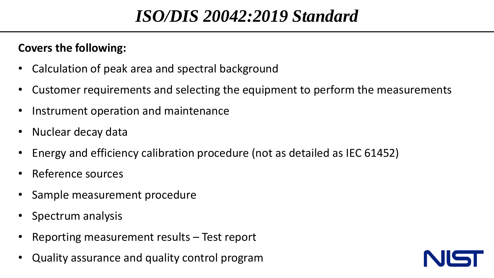## *ISO/DIS 20042:2019 Standard*

#### **Covers the following:**

- Calculation of peak area and spectral background
- Customer requirements and selecting the equipment to perform the measurements
- Instrument operation and maintenance
- Nuclear decay data
- Energy and efficiency calibration procedure (not as detailed as IEC 61452)
- Reference sources
- Sample measurement procedure
- Spectrum analysis
- Reporting measurement results Test report
- Quality assurance and quality control program

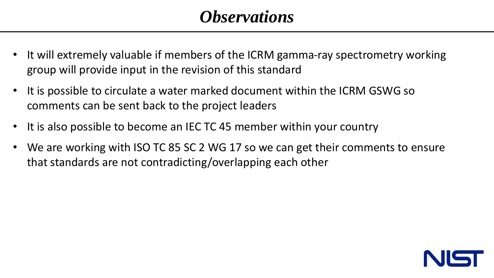#### *Observations*

- It will extremely valuable if members of the ICRM gamma-ray spectrometry working group will provide input in the revision of this standard
- It is possible to circulate a water marked document within the ICRM GSWG so comments can be sent back to the project leaders
- It is also possible to become an IEC TC 45 member within your country
- We are working with ISO TC 85 SC 2 WG 17 so we can get their comments to ensure that standards are not contradicting/overlapping each other